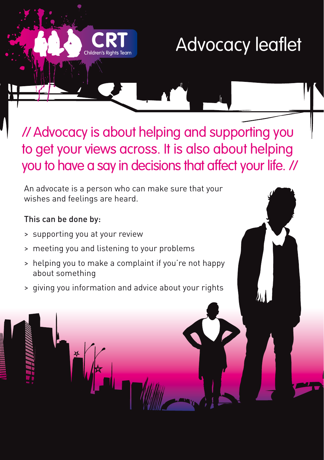## Advocacy leaflet

// Advocacy is about helping and supporting you to get your views across. It is also about helping you to have a say in decisions that affect your life. //

An advocate is a person who can make sure that your wishes and feelings are heard.

## This can be done by:

- > supporting you at your review
- > meeting you and listening to your problems
- > helping you to make a complaint if you're not happy about something
- > giving you information and advice about your rights